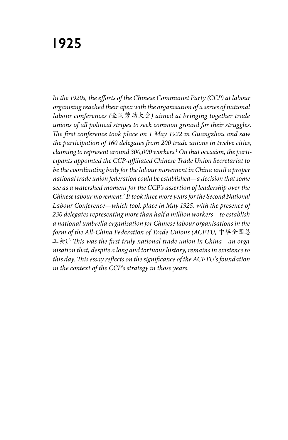# **1925**

*In the 1920s, the efforts of the Chinese Communist Party (CCP) at labour organising reached their apex with the organisation of a series of national labour conferences (*全国劳动大会*) aimed at bringing together trade unions of all political stripes to seek common ground for their struggles. The first conference took place on 1 May 1922 in Guangzhou and saw the participation of 160 delegates from 200 trade unions in twelve cities, claiming to represent around 300,000 workers.*<sup>1</sup>  *On that occasion, the participants appointed the CCP-affiliated Chinese Trade Union Secretariat to be the coordinating body for the labour movement in China until a proper national trade union federation could be established—a decision that some see as a watershed moment for the CCP's assertion of leadership over the Chinese labour movement.*<sup>2</sup>  *It took three more years for the Second National Labour Conference—which took place in May 1925, with the presence of 230 delegates representing more than half a million workers—to establish a national umbrella organisation for Chinese labour organisations in the form of the All-China Federation of Trade Unions (ACFTU,* 中华全国总 工会*).*<sup>3</sup>  *This was the first truly national trade union in China—an organisation that, despite a long and tortuous history, remains in existence to this day. This essay reflects on the significance of the ACFTU's foundation in the context of the CCP's strategy in those years.*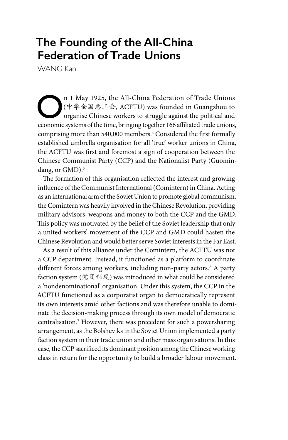## **The Founding of the All-China Federation of Trade Unions**

WANG Kan

**On** 1 May 1925, the All-China Federation of Trade Unions<br>
( $\psi \notin \mathbb{R} \& \mathbb{Z} \& \mathbb{R}$ , ACFTU) was founded in Guangzhou to<br>
organise Chinese workers to struggle against the political and<br>
sconomic systems of the time br (中华全国总工会, ACFTU) was founded in Guangzhou to organise Chinese workers to struggle against the political and economic systems of the time, bringing together 166 affiliated trade unions, comprising more than 540,000 members.4 Considered the first formally established umbrella organisation for all 'true' worker unions in China, the ACFTU was first and foremost a sign of cooperation between the Chinese Communist Party (CCP) and the Nationalist Party (Guomindang, or GMD).<sup>5</sup>

The formation of this organisation reflected the interest and growing influence of the Communist International (Comintern) in China. Acting as an international arm of the Soviet Union to promote global communism, the Comintern was heavily involved in the Chinese Revolution, providing military advisors, weapons and money to both the CCP and the GMD. This policy was motivated by the belief of the Soviet leadership that only a united workers' movement of the CCP and GMD could hasten the Chinese Revolution and would better serve Soviet interests in the Far East.

As a result of this alliance under the Comintern, the ACFTU was not a CCP department. Instead, it functioned as a platform to coordinate different forces among workers, including non-party actors.6 A party faction system (党团制度) was introduced in what could be considered a 'nondenominational' organisation. Under this system, the CCP in the ACFTU functioned as a corporatist organ to democratically represent its own interests amid other factions and was therefore unable to dominate the decision-making process through its own model of democratic centralisation.7 However, there was precedent for such a powersharing arrangement, as the Bolsheviks in the Soviet Union implemented a party faction system in their trade union and other mass organisations. In this case, the CCP sacrificed its dominant position among the Chinese working class in return for the opportunity to build a broader labour movement.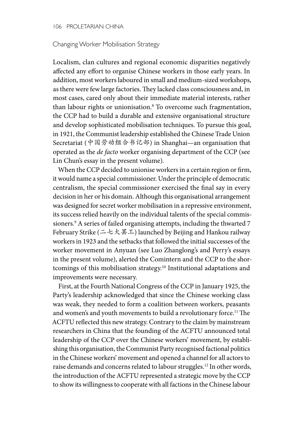#### 106 PROLETARIAN CHINA

#### Changing Worker Mobilisation Strategy

Localism, clan cultures and regional economic disparities negatively affected any effort to organise Chinese workers in those early years. In addition, most workers laboured in small and medium-sized workshops, as there were few large factories. They lacked class consciousness and, in most cases, cared only about their immediate material interests, rather than labour rights or unionisation.8 To overcome such fragmentation, the CCP had to build a durable and extensive organisational structure and develop sophisticated mobilisation techniques. To pursue this goal, in 1921, the Communist leadership established the Chinese Trade Union Secretariat (中国劳动组合书记部) in Shanghai—an organisation that operated as the *de facto* worker organising department of the CCP (see Lin Chun's essay in the present volume).

When the CCP decided to unionise workers in a certain region or firm, it would name a special commissioner. Under the principle of democratic centralism, the special commissioner exercised the final say in every decision in her or his domain. Although this organisational arrangement was designed for secret worker mobilisation in a repressive environment, its success relied heavily on the individual talents of the special commissioners.9 A series of failed organising attempts, including the thwarted 7 February Strike (二七大罢工) launched by Beijing and Hankou railway workers in 1923 and the setbacks that followed the initial successes of the worker movement in Anyuan (see Luo Zhanglong's and Perry's essays in the present volume), alerted the Comintern and the CCP to the shortcomings of this mobilisation strategy.10 Institutional adaptations and improvements were necessary.

First, at the Fourth National Congress of the CCP in January 1925, the Party's leadership acknowledged that since the Chinese working class was weak, they needed to form a coalition between workers, peasants and women's and youth movements to build a revolutionary force.<sup>11</sup> The ACFTU reflected this new strategy. Contrary to the claim by mainstream researchers in China that the founding of the ACFTU announced total leadership of the CCP over the Chinese workers' movement, by establishing this organisation, the Communist Party recognised factional politics in the Chinese workers' movement and opened a channel for all actors to raise demands and concerns related to labour struggles.12 In other words, the introduction of the ACFTU represented a strategic move by the CCP to show its willingness to cooperate with all factions in the Chinese labour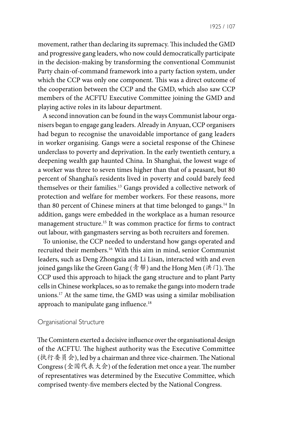movement, rather than declaring its supremacy. This included the GMD and progressive gang leaders, who now could democratically participate in the decision-making by transforming the conventional Communist Party chain-of-command framework into a party faction system, under which the CCP was only one component. This was a direct outcome of the cooperation between the CCP and the GMD, which also saw CCP members of the ACFTU Executive Committee joining the GMD and playing active roles in its labour department.

A second innovation can be found in the ways Communist labour organisers began to engage gang leaders. Already in Anyuan, CCP organisers had begun to recognise the unavoidable importance of gang leaders in worker organising. Gangs were a societal response of the Chinese underclass to poverty and deprivation. In the early twentieth century, a deepening wealth gap haunted China. In Shanghai, the lowest wage of a worker was three to seven times higher than that of a peasant, but 80 percent of Shanghai's residents lived in poverty and could barely feed themselves or their families.13 Gangs provided a collective network of protection and welfare for member workers. For these reasons, more than 80 percent of Chinese miners at that time belonged to gangs.<sup>14</sup> In addition, gangs were embedded in the workplace as a human resource management structure.15 It was common practice for firms to contract out labour, with gangmasters serving as both recruiters and foremen.

To unionise, the CCP needed to understand how gangs operated and recruited their members.16 With this aim in mind, senior Communist leaders, such as Deng Zhongxia and Li Lisan, interacted with and even joined gangs like the Green Gang (青帮) and the Hong Men (洪门). The CCP used this approach to hijack the gang structure and to plant Party cells in Chinese workplaces, so as to remake the gangs into modern trade unions.17 At the same time, the GMD was using a similar mobilisation approach to manipulate gang influence.<sup>18</sup>

#### Organisational Structure

The Comintern exerted a decisive influence over the organisational design of the ACFTU. The highest authority was the Executive Committee (执行委员会), led by a chairman and three vice-chairmen. The National Congress (全国代表大会) of the federation met once a year. The number of representatives was determined by the Executive Committee, which comprised twenty-five members elected by the National Congress.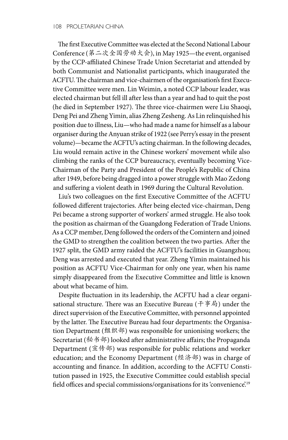The first Executive Committee was elected at the Second National Labour Conference (第二次全国劳动大会), in May 1925—the event, organised by the CCP-affiliated Chinese Trade Union Secretariat and attended by both Communist and Nationalist participants, which inaugurated the ACFTU. The chairman and vice-chairmen of the organisation's first Executive Committee were men. Lin Weimin, a noted CCP labour leader, was elected chairman but fell ill after less than a year and had to quit the post (he died in September 1927). The three vice-chairmen were Liu Shaoqi, Deng Pei and Zheng Yimin, alias Zheng Zesheng. As Lin relinquished his position due to illness, Liu—who had made a name for himself as a labour organiser during the Anyuan strike of 1922 (see Perry's essay in the present volume)—became the ACFTU's acting chairman. In the following decades, Liu would remain active in the Chinese workers' movement while also climbing the ranks of the CCP bureaucracy, eventually becoming Vice-Chairman of the Party and President of the People's Republic of China after 1949, before being dragged into a power struggle with Mao Zedong and suffering a violent death in 1969 during the Cultural Revolution.

Liu's two colleagues on the first Executive Committee of the ACFTU followed different trajectories. After being elected vice-chairman, Deng Pei became a strong supporter of workers' armed struggle. He also took the position as chairman of the Guangdong Federation of Trade Unions. As a CCP member, Deng followed the orders of the Comintern and joined the GMD to strengthen the coalition between the two parties. After the 1927 split, the GMD army raided the ACFTU's facilities in Guangzhou; Deng was arrested and executed that year. Zheng Yimin maintained his position as ACFTU Vice-Chairman for only one year, when his name simply disappeared from the Executive Committee and little is known about what became of him.

Despite fluctuation in its leadership, the ACFTU had a clear organisational structure. There was an Executive Bureau (千事局) under the direct supervision of the Executive Committee, with personnel appointed by the latter. The Executive Bureau had four departments: the Organisation Department (组织部) was responsible for unionising workers; the Secretariat (秘书部) looked after administrative affairs; the Propaganda Department (宣传部) was responsible for public relations and worker education; and the Economy Department (经济部) was in charge of accounting and finance. In addition, according to the ACFTU Constitution passed in 1925, the Executive Committee could establish special field offices and special commissions/organisations for its 'convenience'.<sup>19</sup>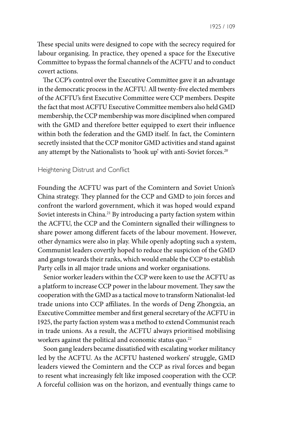These special units were designed to cope with the secrecy required for labour organising. In practice, they opened a space for the Executive Committee to bypass the formal channels of the ACFTU and to conduct covert actions.

The CCP's control over the Executive Committee gave it an advantage in the democratic process in the ACFTU. All twenty-five elected members of the ACFTU's first Executive Committee were CCP members. Despite the fact that most ACFTU Executive Committee members also held GMD membership, the CCP membership was more disciplined when compared with the GMD and therefore better equipped to exert their influence within both the federation and the GMD itself. In fact, the Comintern secretly insisted that the CCP monitor GMD activities and stand against any attempt by the Nationalists to 'hook up' with anti-Soviet forces.<sup>20</sup>

#### Heightening Distrust and Conflict

Founding the ACFTU was part of the Comintern and Soviet Union's China strategy. They planned for the CCP and GMD to join forces and confront the warlord government, which it was hoped would expand Soviet interests in China.<sup>21</sup> By introducing a party faction system within the ACFTU, the CCP and the Comintern signalled their willingness to share power among different facets of the labour movement. However, other dynamics were also in play. While openly adopting such a system, Communist leaders covertly hoped to reduce the suspicion of the GMD and gangs towards their ranks, which would enable the CCP to establish Party cells in all major trade unions and worker organisations.

Senior worker leaders within the CCP were keen to use the ACFTU as a platform to increase CCP power in the labour movement. They saw the cooperation with the GMD as a tactical move to transform Nationalist-led trade unions into CCP affiliates. In the words of Deng Zhongxia, an Executive Committee member and first general secretary of the ACFTU in 1925, the party faction system was a method to extend Communist reach in trade unions. As a result, the ACFTU always prioritised mobilising workers against the political and economic status quo.<sup>22</sup>

Soon gang leaders became dissatisfied with escalating worker militancy led by the ACFTU. As the ACFTU hastened workers' struggle, GMD leaders viewed the Comintern and the CCP as rival forces and began to resent what increasingly felt like imposed cooperation with the CCP. A forceful collision was on the horizon, and eventually things came to